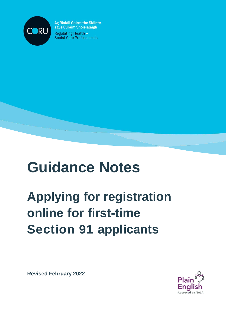

Ag Rialáil Gairmithe Sláinte agus Cúraim Shóisialaigh **Regulating Health + Social Care Professionals** 

# **Guidance Notes**

# **Applying for registration online for first-time Section 91 applicants**

**Revised February 2022**

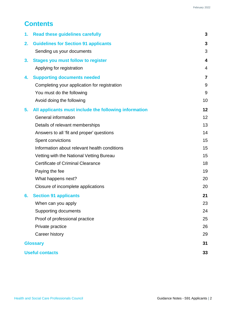# **Contents**

| 1.                     | <b>Read these guidelines carefully</b>                | 3              |
|------------------------|-------------------------------------------------------|----------------|
| 2.                     | <b>Guidelines for Section 91 applicants</b>           | 3              |
|                        | Sending us your documents                             | 3              |
| 3.                     | <b>Stages you must follow to register</b>             | 4              |
|                        | Applying for registration                             | $\overline{4}$ |
| 4.                     | <b>Supporting documents needed</b>                    | $\overline{7}$ |
|                        | Completing your application for registration          | 9              |
|                        | You must do the following                             | 9              |
|                        | Avoid doing the following                             | 10             |
| 5.                     | All applicants must include the following information | 12             |
|                        | <b>General information</b>                            | 12             |
|                        | Details of relevant memberships                       | 13             |
|                        | Answers to all 'fit and proper' questions             | 14             |
|                        | Spent convictions                                     | 15             |
|                        | Information about relevant health conditions          | 15             |
|                        | Vetting with the National Vetting Bureau              | 15             |
|                        | <b>Certificate of Criminal Clearance</b>              | 18             |
|                        | Paying the fee                                        | 19             |
|                        | What happens next?                                    | 20             |
|                        | Closure of incomplete applications                    | 20             |
| 6.                     | <b>Section 91 applicants</b>                          | 21             |
|                        | When can you apply                                    | 23             |
|                        | <b>Supporting documents</b>                           | 24             |
|                        | Proof of professional practice                        | 25             |
|                        | Private practice                                      | 26             |
|                        | Career history                                        | 29             |
| <b>Glossary</b>        |                                                       | 31             |
| <b>Useful contacts</b> |                                                       | 33             |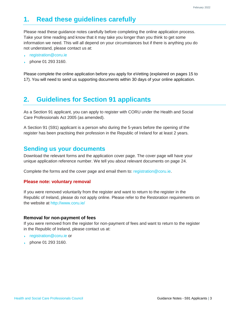# <span id="page-2-0"></span>**1. Read these guidelines carefully**

Please read these guidance notes carefully before completing the online application process. Take your time reading and know that it may take you longer than you think to get some information we need. This will all depend on your circumstances but if there is anything you do not understand, please contact us at:

- [registration@coru.ie](mailto:registration@coru.ie)
- phone 01 293 3160.

Please complete the online application before you apply for eVetting (explained on pages 15 to 17). You will need to send us supporting documents within 30 days of your online application.

# <span id="page-2-1"></span>**2. Guidelines for Section 91 applicants**

As a Section 91 applicant, you can apply to register with CORU under the Health and Social Care Professionals Act 2005 (as amended).

A Section 91 (S91) applicant is a person who during the 5-years before the opening of the register has been practising their profession in the Republic of Ireland for at least 2 years.

### <span id="page-2-2"></span>**Sending us your documents**

Download the relevant forms and the application cover page. The cover page will have your unique application reference number. We tell you about relevant documents on page 24.

Complete the forms and the cover page and email them to: [registration@coru.ie.](mailto:registration@coru.ie)

#### **Please note: voluntary removal**

If you were removed voluntarily from the register and want to return to the register in the Republic of Ireland, please do not apply online. Please refer to the Restoration requirements on the website at<http://www.coru.ie/>

#### **Removal for non-payment of fees**

If you were removed from the register for non-payment of fees and want to return to the register in the Republic of Ireland, please contact us at:

- [registration@coru.ie](mailto:registration@coru.ie) or
- phone 01 293 3160.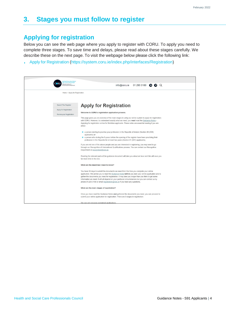# <span id="page-3-0"></span>**3. Stages you must follow to register**

# <span id="page-3-1"></span>**Applying for registration**

Below you can see the web page where you apply to register with CORU. To apply you need to complete three stages. To save time and delays, please read about these stages carefully. We describe these on the next page. To visit the webpage below please click the following link:

Apply for [Registration](https://system.coru.ie/index.php/interfaces/Registration) [\(https://system.coru.ie/index.php/interfaces/Registration\)](https://system.coru.ie/index.php/interfaces/Registration)

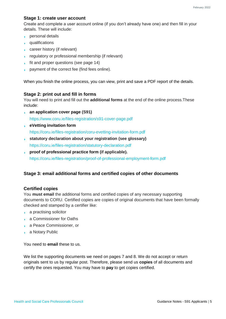#### **Stage 1: create user account**

Create and complete a user account online (if you don't already have one) and then fill in your details. These will include:

- $\rightarrow$  personal details
- $\sqrt{ }$  qualifications
- career history (if relevant)
- **regulatory or professional membership (if relevant)**
- $\sqrt{\ }$  fit and proper questions (see page 14)
- payment of the correct fee (find fees online).

When you finish the online process, you can view, print and save a PDF report of the details.

#### **Stage 2: print out and fill in forms**

You will need to print and fill out the **additional forms** at the end of the online process.These include:

- **an [application](https://www.coru.ie/files-registration/s91-cover-page.pdf) cover page (S91)** <https://www.coru.ie/files-registration/s91-cover-page.pdf>
- **eVetting [invitation](https://coru.ie/files-registration/coru-evetting-invitation-form.pdf) form** <https://coru.ie/files-registration/coru-evetting-invitation-form.pdf>
- **statutory declaration about your registration (see glossary)** <https://coru.ie/files-registration/statutory-declaration.pdf>
- **proof of [professional](https://coru.ie/files-registration/proof-of-professional-employment-form.pdf) practice form (if applicable).** <https://coru.ie/files-registration/proof-of-professional-employment-form.pdf>

#### **Stage 3: email additional forms and certified copies of other documents**

#### **Certified copies**

You **must email** the additional forms and certified copies of any necessary supporting documents to CORU. Certified copies are copies of original documents that have been formally checked and stamped by a certifier like:

- a practising solicitor
- a Commissioner for Oaths
- a Peace Commissioner, or
- a Notary Public

You need to **email** these to us.

We list the supporting documents we need on pages 7 and 8. We do not accept or return originals sent to us by regular post. Therefore, please send us **copies** of all documents and certify the ones requested. You may have to **pay** to get copies certified.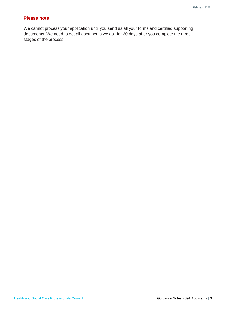#### **Please note**

We cannot process your application until you send us all your forms and certified supporting documents. We need to get all documents we ask for 30 days after you complete the three stages of the process.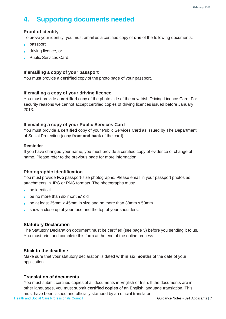# <span id="page-6-0"></span>**4. Supporting documents needed**

#### **Proof of identity**

To prove your identity, you must email us a certified copy of **one** of the following documents:

- passport
- **driving licence**, or
- Public Services Card.

#### **If emailing a copy of your passport**

You must provide a **certified** copy of the photo page of your passport.

#### **If emailing a copy of your driving licence**

You must provide a **certified** copy of the photo side of the new Irish Driving Licence Card. For security reasons we cannot accept certified copies of driving licences issued before January 2013.

#### **If emailing a copy of your Public Services Card**

You must provide a **certified** copy of your Public Services Card as issued by The Department of Social Protection (copy **front and back** of the card).

#### **Reminder**

If you have changed your name, you must provide a certified copy of evidence of change of name. Please refer to the previous page for more information.

#### **Photographic identification**

You must provide **two** passport-size photographs. Please email in your passport photos as attachments in JPG or PNG formats. The photographs must:

- **be identical**
- be no more than six months' old
- be at least 35mm x 45mm in size and no more than 38mm x 50mm
- show a close up of your face and the top of your shoulders. ¥.

#### **Statutory Declaration**

The Statutory Declaration document must be certified (see page 5) before you sending it to us. You must print and complete this form at the end of the online process.

#### **Stick to the deadline**

Make sure that your statutory declaration is dated **within six months** of the date of your application.

#### **Translation of documents**

You must submit certified copies of all documents in English or Irish. If the documents are in other languages, you must submit **certified copies** of an English language translation. This must have been issued and officially stamped by an official translator.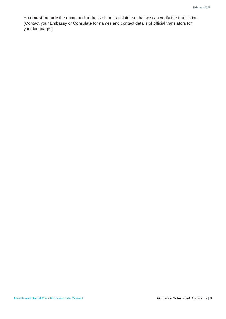You **must include** the name and address of the translator so that we can verify the translation. (Contact your Embassy or Consulate for names and contact details of official translators for your language.)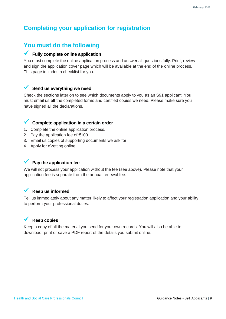# <span id="page-8-1"></span><span id="page-8-0"></span>**Completing your application for registration**

# **You must do the following**

#### **Fully complete online application**

You must complete the online application process and answer all questions fully. Print, review and sign the application cover page which will be available at the end of the online process. This page includes a checklist for you.

#### **Send us everything we need**

Check the sections later on to see which documents apply to you as an S91 applicant. You must email us **all** the completed forms and certified copies we need. Please make sure you have signed all the declarations.

#### **Complete application in <sup>a</sup> certain order**

- 1. Complete the online application process.
- 2. Pay the application fee of €100.
- 3. Email us copies of supporting documents we ask for.
- 4. Apply for eVetting online.

#### **Pay the application fee**

We will not process your application without the fee (see above). Please note that your application fee is separate from the annual renewal fee.

## **Keep us informed**

Tell us immediately about any matter likely to affect your registration application and your ability to perform your professional duties.

#### **Keep copies**

Keep a copy of all the material you send for your own records. You will also be able to download, print or save a PDF report of the details you submit online.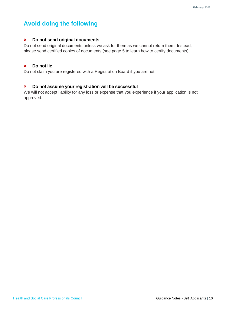# <span id="page-9-0"></span>**Avoid doing the following**

#### **Do not send original documents**

Do not send original documents unless we ask for them as we cannot return them. Instead, please send certified copies of documents (see page 5 to learn how to certify documents).

#### **Do not lie**

Do not claim you are registered with a Registration Board if you are not.

#### **Do not assume your registration will be successful**

We will not accept liability for any loss or expense that you experience if your application is not approved.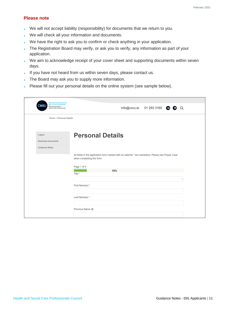#### **Please note**

- We will not accept liability (responsibility) for documents that we return to you.
- We will check all your information and documents.
- We have the right to ask you to confirm or check anything in your application.
- $\overline{\phantom{a}}$  The Registration Board may verify, or ask you to verify, any information as part of your application.
- We aim to acknowledge receipt of your cover sheet and supporting documents within seven days.
- If you have not heard from us within seven days, please contact us.
- The Board may ask you to supply more information. j.
- Please fill out your personal details on the online system (see sample below). $\mathbf{F}^{\mathrm{max}}$

| Ag Rialáil Gairmithe Sláinte                                                 |                                                                                                                                  |
|------------------------------------------------------------------------------|----------------------------------------------------------------------------------------------------------------------------------|
| agus Cúraim Shóisialaigh<br>Regulating Health +<br>Social Care Professionals | 01 293 3160 $\bullet$<br>info@coru.ie<br>Q                                                                                       |
| Home > Personal Details                                                      |                                                                                                                                  |
|                                                                              |                                                                                                                                  |
| Logout                                                                       | <b>Personal Details</b>                                                                                                          |
| Download documents                                                           |                                                                                                                                  |
| <b>Guidance Notes</b>                                                        |                                                                                                                                  |
|                                                                              | All fields in the application form marked with an asterisk * are mandatory. Please use Proper Case<br>when completing this form. |
|                                                                              | Page 1 of 9                                                                                                                      |
|                                                                              | 10%<br>Title *                                                                                                                   |
|                                                                              | $\checkmark$                                                                                                                     |
|                                                                              | First Name(s)*                                                                                                                   |
|                                                                              | Last Name(s) *                                                                                                                   |
|                                                                              |                                                                                                                                  |
|                                                                              | Previous Name                                                                                                                    |
|                                                                              |                                                                                                                                  |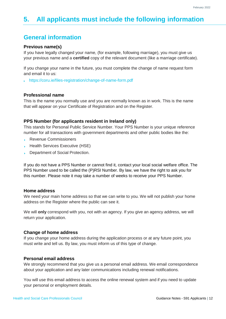# <span id="page-11-1"></span><span id="page-11-0"></span>**5. All applicants must include the following information**

## **General information**

#### **Previous name(s)**

If you have legally changed your name, (for example, following marriage), you must give us your previous name and a **certified** copy of the relevant document (like a marriage certificate).

If you change your name in the future, you must complete the change of name request form and email it to us:

<https://coru.ie/files-registration/change-of-name-form.pdf>

#### **Professional name**

This is the name you normally use and you are normally known as in work. This is the name that will appear on your Certificate of Registration and on the Register.

#### **PPS Number (for applicants resident in Ireland only)**

This stands for Personal Public Service Number. Your PPS Number is your unique reference number for all transactions with government departments and other public bodies like the:

- Revenue Commissioners k.
- Health Services Executive (HSE) k.
- Department of Social Protection.

If you do not have a PPS Number or cannot find it, contact your local social welfare office. The PPS Number used to be called the (P)RSI Number. By law, we have the right to ask you for this number. Please note it may take a number of weeks to receive your PPS Number.

#### **Home address**

We need your main home address so that we can write to you. We will not publish your home address on the Register where the public can see it.

We will **only** correspond with you, not with an agency. If you give an agency address, we will return your application.

#### **Change of home address**

If you change your home address during the application process or at any future point, you must write and tell us. By law, you must inform us of this type of change.

#### **Personal email address**

We strongly recommend that you give us a personal email address. We email correspondence about your application and any later communications including renewal notifications.

You will use this email address to access the online renewal system and if you need to update your personal or employment details.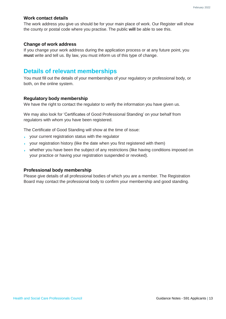#### **Work contact details**

The work address you give us should be for your main place of work. Our Register will show the county or postal code where you practise. The public **will** be able to see this.

#### **Change of work address**

If you change your work address during the application process or at any future point, you **must** write and tell us. By law, you must inform us of this type of change.

# <span id="page-12-0"></span>**Details of relevant memberships**

You must fill out the details of your memberships of your regulatory or professional body, or both, on the online system.

#### **Regulatory body membership**

We have the right to contact the regulator to verify the information you have given us.

We may also look for 'Certificates of Good Professional Standing' on your behalf from regulators with whom you have been registered.

The Certificate of Good Standing will show at the time of issue:

- your current registration status with the regulator
- your registration history (like the date when you first registered with them)
- $\rightarrow$  whether you have been the subject of any restrictions (like having conditions imposed on your practice or having your registration suspended or revoked).

#### **Professional body membership**

Please give details of all professional bodies of which you are a member. The Registration Board may contact the professional body to confirm your membership and good standing.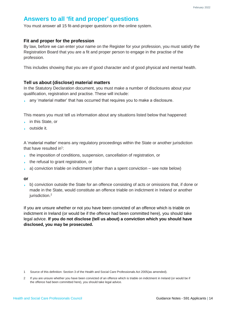# <span id="page-13-0"></span>**Answers to all 'fit and proper' questions**

You must answer all 15 fit-and-proper questions on the online system.

#### **Fit and proper for the profession**

By law, before we can enter your name on the Register for your profession, you must satisfy the Registration Board that you are a fit and proper person to engage in the practise of the profession.

This includes showing that you are of good character and of good physical and mental health.

#### **Tell us about (disclose) material matters**

In the Statutory Declaration document, you must make a number of disclosures about your qualification, registration and practise. These will include:

any 'material matter' that has occurred that requires you to make a disclosure.  $\mathbf{F}^{\text{max}}$ 

This means you must tell us information about any situations listed below that happened:

- **in this State, or**
- outside it*.*

A 'material matter' means any regulatory proceedings within the State or another jurisdiction that have resulted in<sup>1</sup>:

- $\bullet$  the imposition of conditions, suspension, cancellation of registration, or
- $\bullet$  the refusal to grant registration, or
- a) conviction triable on indictment (other than a spent conviction see note below) k.

#### **or**

 $\bullet$  b) conviction outside the State for an offence consisting of acts or omissions that, if done or made in the State, would constitute an offence triable on indictment in Ireland or another jurisdiction. 2

If you are unsure whether or not you have been convicted of an offence which is triable on indictment in Ireland (or would be if the offence had been committed here), you should take legal advice. **If you do not disclose (tell us about) a conviction which you should have disclosed, you may be prosecuted.**

<sup>1</sup> Source of this definition: Section 3 of the Health and Social Care Professionals Act 2005(as amended).

<sup>2</sup> If you are unsure whether you have been convicted of an offence which is triable on indictment in Ireland (or would be if the offence had been committed here), you should take legal advice.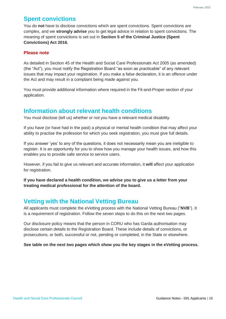## <span id="page-14-0"></span>**Spent convictions**

You do **not** have to disclose convictions which are spent convictions. Spent convictions are complex, and we **strongly advise** you to get legal advice in relation to spent convictions. The meaning of spent convictions is set out in **Section 5 of the Criminal Justice (Spent Convictions) Act 2016.**

#### **Please note**

As detailed in Section 45 of the Health and Social Care Professionals Act 2005 (as amended) (the "Act"), you must notify the Registration Board "as soon as practicable" of any relevant issues that may impact your registration. If you make a false declaration, it is an offence under the Act and may result in a complaint being made against you.

You must provide additional information where required in the Fit-and-Proper section of your application.

## <span id="page-14-1"></span>**Information about relevant health conditions**

You must disclose (tell us) whether or not you have a relevant medical disability.

If you have (or have had in the past) a physical or mental health condition that may affect your ability to practise the profession for which you seek registration, you must give full details.

If you answer 'yes' to any of the questions, it does not necessarily mean you are ineligible to register. It is an opportunity for you to show how you manage your health issues, and how this enables you to provide safe service to service users.

However, if you fail to give us relevant and accurate information, it **will** affect your application for registration.

**If you have declared a health condition, we advise you to give us a letter from your treating medical professional for the attention of the board.**

# <span id="page-14-2"></span>**Vetting with the National Vetting Bureau**

All applicants must complete the eVetting process with the National Vetting Bureau ("**NVB**"). It is a requirement of registration. Follow the seven steps to do this on the next two pages.

Our disclosure policy means that the person in CORU who has Garda authorisation may disclose certain details to the Registration Board. These include details of convictions, or prosecutions, or both, successful or not, pending or completed, in the State or elsewhere.

#### **See table on the next two pages which show you the key stages in the eVetting process.**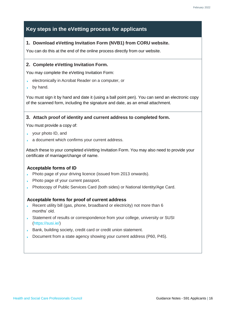## **Key steps in the eVetting process for applicants**

#### **1. Download eVetting Invitation Form (NVB1) from CORU website.**

You can do this at the end of the online process directly from our website.

#### **2. Complete eVetting Invitation Form.**

You may complete the eVetting Invitation Form:

- electronically in Acrobat Reader on a computer, or
- by hand.

You must sign it by hand and date it (using a ball point pen). You can send an electronic copy of the scanned form, including the signature and date, as an email attachment.

#### **3. Attach proof of identity and current address to completed form.**

You must provide a copy of:

- your photo ID, and
- a document which confirms your current address.

Attach these to your completed eVetting Invitation Form. You may also need to provide your certificate of marriage/change of name.

#### **Acceptable forms of ID**

- Photo page of your driving licence (issued from 2013 onwards).
- Photo page of your current passport.
- Photocopy of Public Services Card (both sides) or National Identity/Age Card.

#### **Acceptable forms for proof of current address**

- Recent utility bill (gas, phone, broadband or electricity) not more than 6 months' old.
- Statement of results or correspondence from your college, university or [SUSI](https://susi.ie/) [\(https://susi.ie/\)](https://susi.ie/)
- Bank, building society, credit card or credit union statement.
- Document from a state agency showing your current address (P60, P45).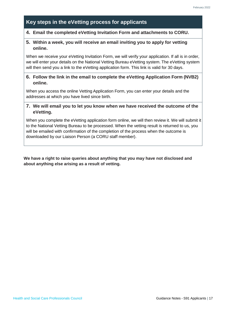## **Key steps in the eVetting process for applicants**

#### **4. Email the completed eVetting Invitation Form and attachments to CORU.**

#### **5. Within a week, you will receive an email inviting you to apply for vetting online.**

When we receive your eVetting Invitation Form, we will verify your application. If all is in order, we will enter your details on the National Vetting Bureau eVetting system. The eVetting system will then send you a link to the eVetting application form. This link is valid for 30 days.

#### **6. Follow the link in the email to complete the eVetting Application Form (NVB2) online.**

When you access the online Vetting Application Form, you can enter your details and the addresses at which you have lived since birth.

#### **7. We will email you to let you know when we have received the outcome of the eVetting.**

When you complete the eVetting application form online, we will then review it. We will submit it to the National Vetting Bureau to be processed. When the vetting result is returned to us, you will be emailed with confirmation of the completion of the process when the outcome is downloaded by our Liaison Person (a CORU staff member).

**We have a right to raise queries about anything that you may have not disclosed and about anything else arising as a result of vetting.**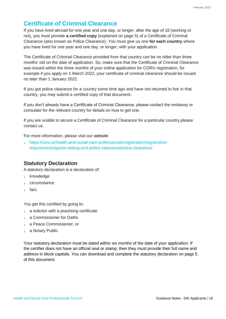# <span id="page-17-0"></span>**Certificate of Criminal Clearance**

If you have lived abroad for one year and one day, or longer, after the age of 18 (working or not), you must provide **a certified copy** (explained on page 5) of a Certificate of Criminal Clearance (also known as Police Clearance). You must give us one **for each country** where you have lived for one year and one day, or longer, with your application.

The Certificate of Criminal Clearance provided from that country can be no older than three months' old on the date of application. So, make sure that the Certificate of Criminal Clearance was issued within the three months of your online application for CORU registration, for example if you apply on 1 March 2022, your certificate of criminal clearance should be issued no later than 1 January 2022.

If you got police clearance for a country some time ago and have not returned to live in that country, you may submit a certified copy of that document.

If you don't already have a Certificate of Criminal Clearance, please contact the embassy or consulate for the relevant country for details on how to get one.

If you are unable to secure a Certificate of Criminal Clearance for a particular country,please contact us.

For more information, please visit our [website:](https://coru.ie/health-and-social-care-professionals/registration/registration-requirements/garda-vetting-and-police-clearance/police-clearance/)

[https://coru.ie/health-and-social-care-professionals/registration/registration](https://coru.ie/health-and-social-care-professionals/registration/registration-requirements/garda-vetting-and-police-clearance/police-clearance/)[requirements/garda-vetting-and-police-clearance/police-clearance/](https://coru.ie/health-and-social-care-professionals/registration/registration-requirements/garda-vetting-and-police-clearance/police-clearance/)

#### **Statutory Declaration**

A statutory declaration is a declaration of:

- $\sqrt{\ }$  knowledge
- circumstance
- fact.

You get this certified by going to:

- a solicitor with a practising certificate
- a Commissioner for Oaths
- a Peace Commissioner, or
- a Notary Public  $\mathbf{F}^{\text{max}}$

Your statutory declaration must be dated within six months of the date of your application. If the certifier does not have an official seal or stamp, then they must provide their full name and address in block capitals. You can download and complete the statutory declaration on page 5 of this document.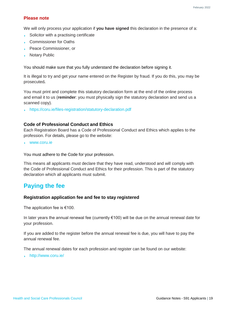#### **Please note**

We will only process your application if **you have signed** this declaration in the presence of a:

- Solicitor with a practising certificate k.
- Commissioner for Oaths
- Peace Commissioner, or
- Notary Public

You should make sure that you fully understand the declaration before signing it.

It is illegal to try and get your name entered on the Register by fraud. If you do this, you may be prosecuted**.**

You must print and complete this [statutory declaration form](https://coru.ie/files-registration/statutory-declaration.pdf) at the end of the online process and email it to us (**reminder**: you must physically sign the statutory declaration and send us a scanned copy).

<https://coru.ie/files-registration/statutory-declaration.pdf>

#### **Code of Professional Conduct and Ethics**

Each Registration Board has a Code of Professional Conduct and Ethics which applies to the profession. For details, please go to the website:

[www.coru.ie](http://www.coru.ie/)

You must adhere to the Code for your profession.

This means all applicants must declare that they have read, understood and will comply with the Code of Professional Conduct and Ethics for their profession. This is part of the statutory declaration which all applicants must submit.

# <span id="page-18-0"></span>**Paying the fee**

#### **Registration application fee and fee to stay registered**

The application fee is €100.

In later years the annual renewal fee (currently €100) will be due on the annual renewal date for your profession.

If you are added to the register before the annual renewal fee is due, you will have to pay the annual renewal fee.

The annual renewal dates for each profession and register can be found on our website:

<http://www.coru.ie/>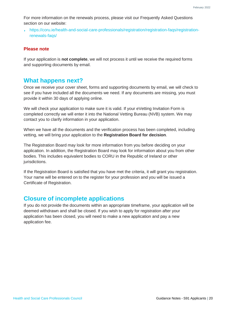For more information on the renewals process, please visit our Frequently Asked Questions section on our website:

[https://coru.ie/health-and-social-care-professionals/registration/registration-faqs/registration](https://coru.ie/health-and-social-care-professionals/registration/registration-faqs/registration-renewals-faqs/)[renewals-faqs/](https://coru.ie/health-and-social-care-professionals/registration/registration-faqs/registration-renewals-faqs/)

#### **Please note**

If your application is **not complete**, we will not process it until we receive the required forms and supporting documents by email.

#### <span id="page-19-0"></span>**What happens next?**

Once we receive your cover sheet, forms and supporting documents by email, we will check to see if you have included all the documents we need. If any documents are missing, you must provide it within 30 days of applying online.

We will check your application to make sure it is valid. If your eVetting Invitation Form is completed correctly we will enter it into the National Vetting Bureau (NVB) system. We may contact you to clarify information in your application.

When we have all the documents and the verification process has been completed, including vetting, we will bring your application to the **Registration Board for decision**.

The Registration Board may look for more information from you before deciding on your application. In addition, the Registration Board may look for information about you from other bodies. This includes equivalent bodies to CORU in the Republic of Ireland or other jurisdictions.

If the Registration Board is satisfied that you have met the criteria, it will grant you registration. Your name will be entered on to the register for your profession and you will be issued a Certificate of Registration.

## <span id="page-19-1"></span>**Closure of incomplete applications**

If you do not provide the documents within an appropriate timeframe, your application will be deemed withdrawn and shall be closed. If you wish to apply for registration after your application has been closed, you will need to make a new application and pay a new application fee.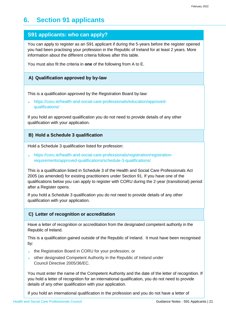# <span id="page-20-0"></span>**6. Section 91 applicants**

### **S91 applicants: who can apply?**

You can apply to register as an S91 applicant if during the 5-years before the register opened you had been practising your profession in the Republic of Ireland for at least 2 years. More information about the different criteria follows after this table.

You must also fit the criteria in **one** of the following from A to E.

#### **A) Qualification approved by by-law**

This is a qualification approved by the [Registration Board by-law:](https://coru.ie/health-and-social-care-professionals/education/approved-qualifications/)

[https://coru.ie/health-and-social-care-professionals/education/approved](https://coru.ie/health-and-social-care-professionals/education/approved-qualifications/)[qualifications/](https://coru.ie/health-and-social-care-professionals/education/approved-qualifications/)

If you hold an approved qualification you do not need to provide details of any other qualification with your application.

#### **B) Hold a Schedule 3 qualification**

Hold a Schedule 3 qualification listed for profession:

[https://coru.ie/health-and-social-care-professionals/registration/registration](https://coru.ie/health-and-social-care-professionals/registration/registration-requirements/approved-qualifications/schedule-3-qualifications/)[requirements/approved-qualifications/schedule-3-qualifications/](https://coru.ie/health-and-social-care-professionals/registration/registration-requirements/approved-qualifications/schedule-3-qualifications/)

This is a qualification listed in Schedule 3 of the Health and Social Care Professionals Act 2005 (as amended) for existing practitioners under Section 91. If you have one of the qualifications below you can apply to register with CORU during the 2-year (transitional) period after a Register opens.

If you hold a Schedule 3 qualification you do not need to provide details of any other qualification with your application.

#### **C) Letter of recognition or accreditation**

Have a letter of recognition or accreditation from the designated competent authority in the Republic of Ireland.

This is a qualification gained outside of the Republic of Ireland. It must have been recognised by:

- the Registration Board in CORU for your profession, or
- other designated Competent Authority in the Republic of Ireland under Council Directive 2005/36/EC.

You must enter the name of the Competent Authority and the date of the letter of recognition. If you hold a letter of recognition for an international qualification, you do not need to provide details of any other qualification with your application.

If you hold an international qualification in the profession and you do not have a letter of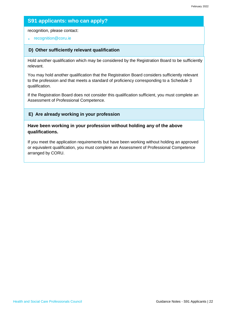#### **S91 applicants: who can apply?**

recognition, please contact:

[recognition@coru.ie](mailto:recognition@coru.ie)

#### **D) Other sufficiently relevant qualification**

Hold another qualification which may be considered by the Registration Board to be sufficiently relevant.

You may hold another qualification that the Registration Board considers sufficiently relevant to the profession and that meets a standard of proficiency corresponding to a Schedule 3 qualification.

If the Registration Board does not consider this qualification sufficient, you must complete an Assessment of Professional Competence.

#### **E) Are already working in your profession**

**Have been working in your profession without holding any of the above qualifications.**

If you meet the application requirements but have been working without holding an approved or equivalent qualification, you must complete an Assessment of Professional Competence arranged by CORU.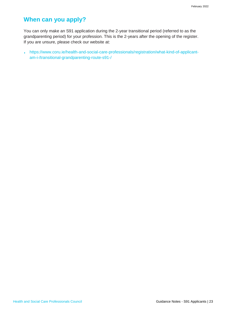# <span id="page-22-0"></span>**When can you apply?**

You can only make an S91 application during the 2-year transitional period (referred to as the grandparenting period) for your profession. This is the 2-years after the opening of the register. If you are unsure, please check our website at:

[https://www.coru.ie/health-and-social-care-professionals/registration/what-kind-of-applicant](https://www.coru.ie/health-and-social-care-professionals/registration/what-kind-of-applicant-am-i-/transitional-grandparenting-route-s91-/)[am-i-/transitional-grandparenting-route-s91-/](https://www.coru.ie/health-and-social-care-professionals/registration/what-kind-of-applicant-am-i-/transitional-grandparenting-route-s91-/)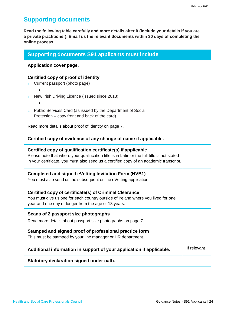# <span id="page-23-0"></span>**Supporting documents**

**Read the following table carefully and more details after it (include your details if you are a private practitioner). Email us the relevant documents within 30 days of completing the online process.**

| <b>Supporting documents S91 applicants must include</b>                                                                                                                                                                                               |             |  |  |
|-------------------------------------------------------------------------------------------------------------------------------------------------------------------------------------------------------------------------------------------------------|-------------|--|--|
| Application cover page.                                                                                                                                                                                                                               |             |  |  |
| <b>Certified copy of proof of identity</b><br>Current passport (photo page)<br>or                                                                                                                                                                     |             |  |  |
| New Irish Driving Licence (issued since 2013)<br>or                                                                                                                                                                                                   |             |  |  |
| Public Services Card (as issued by the Department of Social<br>Protection – copy front and back of the card).                                                                                                                                         |             |  |  |
| Read more details about proof of identity on page 7.                                                                                                                                                                                                  |             |  |  |
| Certified copy of evidence of any change of name if applicable.                                                                                                                                                                                       |             |  |  |
| Certified copy of qualification certificate(s) if applicable<br>Please note that where your qualification title is in Latin or the full title is not stated<br>in your certificate, you must also send us a certified copy of an academic transcript. |             |  |  |
| <b>Completed and signed eVetting Invitation Form (NVB1)</b><br>You must also send us the subsequent online eVetting application.                                                                                                                      |             |  |  |
| Certified copy of certificate(s) of Criminal Clearance<br>You must give us one for each country outside of Ireland where you lived for one<br>year and one day or longer from the age of 18 years.                                                    |             |  |  |
| Scans of 2 passport size photographs<br>Read more details about passport size photographs on page 7                                                                                                                                                   |             |  |  |
| Stamped and signed proof of professional practice form<br>This must be stamped by your line manager or HR department.                                                                                                                                 |             |  |  |
| Additional information in support of your application if applicable.                                                                                                                                                                                  | If relevant |  |  |
| Statutory declaration signed under oath.                                                                                                                                                                                                              |             |  |  |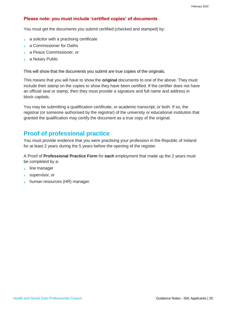#### **Please note: you must include 'certified copies' of documents**

You must get the documents you submit certified (checked and stamped) by:

- $\bullet$  a solicitor with a practising certificate
- a Commissioner for Oaths
- a Peace Commissioner, or
- a Notary Public

This will show that the documents you submit are true copies of the originals.

This means that you will have to show the **original** documents to one of the above. They must include their stamp on the copies to show they have been certified. If the certifier does not have an official seal or stamp, then they must provide a signature and full name and address in block capitals.

You may be submitting a qualification certificate, or academic transcript, or both. If so, the registrar (or someone authorised by the registrar) of the university or educational institution that granted the qualification may certify the document as a true copy of the original.

# <span id="page-24-0"></span>**Proof of professional practice**

You must provide evidence that you were practising your profession in the Republic of Ireland for at least 2 years during the 5 years before the opening of the register.

A Proof of **Professional Practice Form** for **each** employment that made up the 2 years must be completed by a:

- **Ine manager**
- supervisor, or
- **human resources (HR) manager.**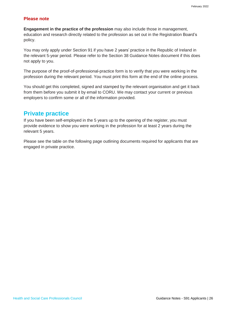#### **Please note**

**Engagement in the practice of the profession** may also include those in management, education and research directly related to the profession as set out in the Registration Board's policy.

You may only apply under Section 91 if you have 2 years' practice in the Republic of Ireland in the relevant 5-year period. Please refer to the Section 38 Guidance Notes document if this does not apply to you.

The purpose of the proof-of-professional-practice form is to verify that you were working in the profession during the relevant period. You must print this form at the end of the online process.

You should get this completed, signed and stamped by the relevant organisation and get it back from them before you submit it by email to CORU. We may contact your current or previous employers to confirm some or all of the information provided.

## <span id="page-25-0"></span>**Private practice**

If you have been self-employed in the 5 years up to the opening of the register, you must provide evidence to show you were working in the profession for at least 2 years during the relevant 5 years.

Please see the table on the following page outlining documents required for applicants that are engaged in private practice.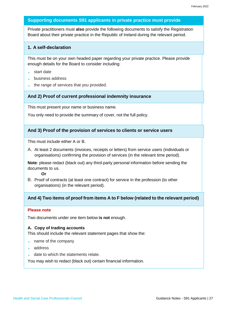#### **Supporting documents S91 applicants in private practice must provide**

Private practitioners must **also** provide the following documents to satisfy the Registration Board about their private practice in the Republic of Ireland during the relevant period.

#### **1. A self-declaration**

This must be on your own headed paper regarding your private practice. Please provide enough details for the Board to consider including:

- start date
- **business address**
- the range of services that you provided.

#### **And 2) Proof of current professional indemnity insurance**

This must present your name or business name.

You only need to provide the summary of cover, not the full policy.

#### **And 3) Proof of the provision of services to clients or service users**

This must include either A or B.

A. At least 2 documents (invoices, receipts or letters) from service users (individuals or organisations) confirming the provision of services (in the relevant time period).

**Note**: please redact (black out) any third-party personal information before sending the documents to us.

**Or**

B. Proof of contracts (at least one contract) for service in the profession (to other organisations) (in the relevant period).

#### **And 4) Two items of proof from items A to F below (related to the relevant period)**

#### **Please note**

Two documents under one item below **is not** enough.

#### **A. Copy of trading accounts**

This should include the relevant statement pages that show the:

- **name of the company**
- address
- date to which the statements relate.

You may wish to redact (black out) certain financial information.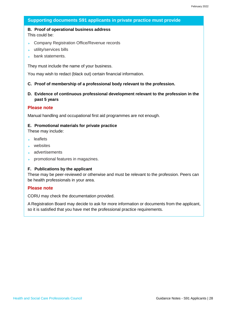#### **Supporting documents S91 applicants in private practice must provide**

# **B. Proof of operational business address**

This could be:

- **Company Registration Office/Revenue records**
- utility/services bills ¥
- bank statements.

They must include the name of your business.

You may wish to redact (black out) certain financial information.

#### **C. Proof of membership of a professional body relevant to the profession.**

**D. Evidence of continuous professional development relevant to the profession in the past 5 years**

#### **Please note**

Manual handling and occupational first aid programmes are not enough.

#### **E. Promotional materials for private practice**

These may include:

- leaflets
- websites
- advertisements
- **promotional features in magazines.**

#### **F. Publications by the applicant**

These may be peer-reviewed or otherwise and must be relevant to the profession. Peers can be health professionals in your area.

#### **Please note**

CORU may check the documentation provided.

A Registration Board may decide to ask for more information or documents from the applicant, so it is satisfied that you have met the professional practice requirements.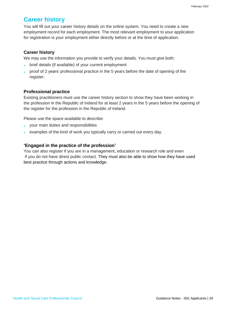# <span id="page-28-0"></span>**Career history**

You will fill out your career history details on the online system. You need to create a new employment record for each employment. The most relevant employment to your application for registration is your employment either directly before or at the time of application.

#### **Career history**

We may use the information you provide to verify your details. You must give both:

- $\rightarrow$  brief details (if available) of your current employment
- $\rightarrow$  proof of 2 years' professional practice in the 5 years before the date of opening of the register.

#### **Professional practice**

Existing practitioners must use the career history section to show they have been working in the profession in the Republic of Ireland for at least 2 years in the 5 years before the opening of the register for the profession in the Republic of Ireland.

Please use the space available to describe:

- your main duties and responsibilities
- examples of the kind of work you typically carry or carried out every day.

#### **'Engaged in the practice of the profession'**

You can also register if you are in a management, education or research role and even if you do not have direst public contact. They must also be able to show how they have used best practice through actions and knowledge.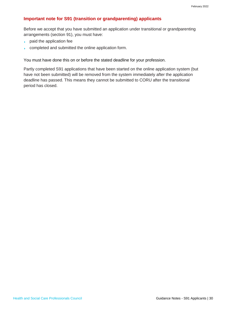#### **Important note for S91 (transition or grandparenting) applicants**

Before we accept that you have submitted an application under transitional or grandparenting arrangements (section 91), you must have:

- paid the application fee
- completed and submitted the online application form.  $\mathbf{F}^{\pm}$

You must have done this on or before the stated deadline for your profession.

Partly completed S91 applications that have been started on the online application system (but have not been submitted) will be removed from the system immediately after the application deadline has passed. This means they cannot be submitted to CORU after the transitional period has closed.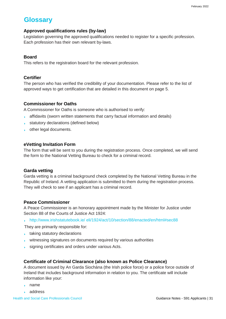# <span id="page-30-0"></span> **Glossary**

#### **Approved qualifications rules (by-law)**

Legislation governing the approved qualifications needed to register for a specific profession. Each profession has their own relevant by-laws.

#### **Board**

This refers to the registration board for the relevant profession.

#### **Certifier**

The person who has verified the credibility of your documentation. Please refer to the list of approved ways to get certification that are detailed in this document on page 5.

#### **Commissioner for Oaths**

A Commissioner for Oaths is someone who is authorised to verify:

- **affidavits (sworn written statements that carry factual information and details)**
- statutory declarations (defined below)
- **b** other legal documents.

#### **eVetting Invitation Form**

The form that will be sent to you during the registration process. Once completed, we will send the form to the National Vetting Bureau to check for a criminal record.

#### **Garda vetting**

Garda vetting is a criminal background check completed by the National Vetting Bureau in the Republic of Ireland. A vetting application is submitted to them during the registration process. They will check to see if an applicant has a criminal record.

#### **Peace Commissioner**

A Peace Commissioner is an honorary appointment made by the Minister for Justice under [Section 88 of the Courts of Justice Act 1924:](http://www.irishstatutebook.ie/%20eli/1924/act/10/section/88/enacted/en/html#sec88)

[http://www.irishstatutebook.ie/ eli/1924/act/10/section/88/enacted/en/html#sec88](https://www.irishstatutebook.ie/eli/1924/act/10/section/88/enacted/en/html)

They are primarily responsible for:

- **taking statutory declarations**
- $\rightarrow$  witnessing signatures on documents required by various authorities
- signing certificates and orders under various Acts.

#### **Certificate of Criminal Clearance (also known as Police Clearance)**

A document issued by An Garda Siochána (the Irish police force) or a police force outside of Ireland that includes background information in relation to you. The certificate will include information like your:

- name
- address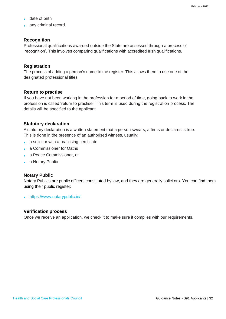- date of birth
- **any criminal record.**

#### **Recognition**

Professional qualifications awarded outside the State are assessed through a process of 'recognition'. This involves comparing qualifications with accredited Irish qualifications.

#### **Registration**

The process of adding a person's name to the register. This allows them to use one of the designated professional titles

#### **Return to practise**

If you have not been working in the profession for a period of time, going back to work in the profession is called 'return to practise'. This term is used during the registration process. The details will be specified to the applicant.

#### **Statutory declaration**

A statutory declaration is a written statement that a person swears, affirms or declares is true. This is done in the presence of an authorised witness, usually:

- $\bullet$  a solicitor with a practising certificate
- a Commissioner for Oaths
- a Peace Commissioner, or
- a Notary Public

#### **Notary Public**

Notary Publics are public officers constituted by law, and they are generally solicitors. You can find them using their [public register:](https://www.notarypublic.ie/)

[https://www.notarypublic.ie/](http://www.notarypublic.ie/))

#### **Verification process**

Once we receive an application, we check it to make sure it complies with our requirements.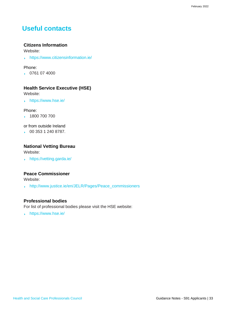# <span id="page-32-0"></span> **Useful contacts**

#### **Citizens Information**

Website:

[https://www.citizensinformation.ie/](http://www.citizensinformation.ie/)

#### Phone:

0761 07 4000

#### **Health Service Executive (HSE)**

Website:

[https://www.](http://www.hse.ie/)hse.ie/

#### Phone:

1800 700 700

#### or from outside Ireland

00 353 1 240 8787.

#### **National Vetting Bureau**

Website:

<https://vetting.garda.ie/>

#### **Peace Commissioner**

Website:

[http://www.justice.ie/en/JELR/Pages/Peace\\_commissioners](http://www.justice.ie/en/JELR/Pages/Peace_commissioners)

#### **Professional bodies**

For list of professional bodies please visit the HSE website:

<https://www.hse.ie/>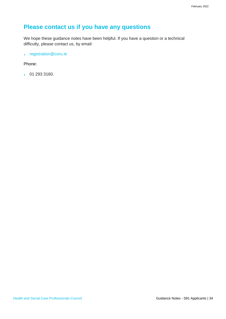# **Please contact us if you have any questions**

We hope these guidance notes have been helpful. If you have a question or a technical difficulty, please contact us, by email:

[registration@coru.ie](mailto:registration@coru.ie)

#### Phone:

 $\cdot$  01 293 3160.